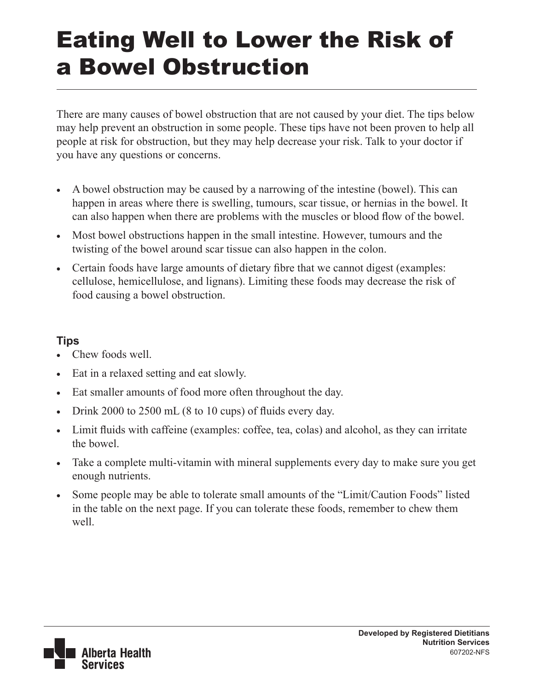## Eating Well to Lower the Risk of a Bowel Obstruction

There are many causes of bowel obstruction that are not caused by your diet. The tips below may help prevent an obstruction in some people. These tips have not been proven to help all people at risk for obstruction, but they may help decrease your risk. Talk to your doctor if you have any questions or concerns.

- A bowel obstruction may be caused by a narrowing of the intestine (bowel). This can happen in areas where there is swelling, tumours, scar tissue, or hernias in the bowel. It can also happen when there are problems with the muscles or blood flow of the bowel.
- Most bowel obstructions happen in the small intestine. However, tumours and the twisting of the bowel around scar tissue can also happen in the colon.
- Certain foods have large amounts of dietary fibre that we cannot digest (examples: cellulose, hemicellulose, and lignans). Limiting these foods may decrease the risk of food causing a bowel obstruction.

## **Tips**

- Chew foods well.
- Eat in a relaxed setting and eat slowly.
- Eat smaller amounts of food more often throughout the day.
- Drink 2000 to 2500 mL  $(8 \text{ to } 10 \text{ cups})$  of fluids every day.
- Limit fluids with caffeine (examples: coffee, tea, colas) and alcohol, as they can irritate the bowel.
- Take a complete multi-vitamin with mineral supplements every day to make sure you get enough nutrients.
- Some people may be able to tolerate small amounts of the "Limit/Caution Foods" listed in the table on the next page. If you can tolerate these foods, remember to chew them well.